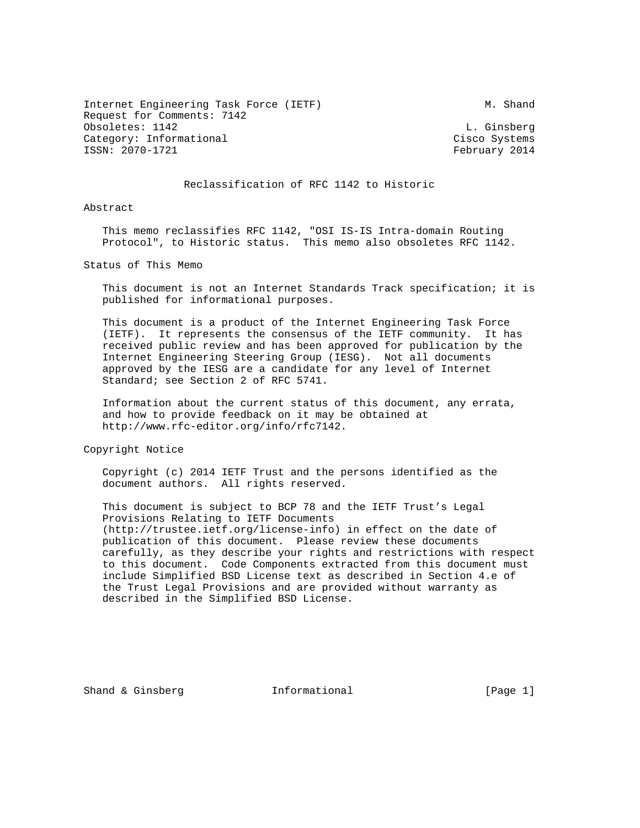Internet Engineering Task Force (IETF) M. Shand Request for Comments: 7142 Obsoletes: 1142 L. Ginsberg Category: Informational Cisco Systems ISSN: 2070-1721 February 2014

## Reclassification of RFC 1142 to Historic

Abstract

 This memo reclassifies RFC 1142, "OSI IS-IS Intra-domain Routing Protocol", to Historic status. This memo also obsoletes RFC 1142.

Status of This Memo

 This document is not an Internet Standards Track specification; it is published for informational purposes.

 This document is a product of the Internet Engineering Task Force (IETF). It represents the consensus of the IETF community. It has received public review and has been approved for publication by the Internet Engineering Steering Group (IESG). Not all documents approved by the IESG are a candidate for any level of Internet Standard; see Section 2 of RFC 5741.

 Information about the current status of this document, any errata, and how to provide feedback on it may be obtained at http://www.rfc-editor.org/info/rfc7142.

Copyright Notice

 Copyright (c) 2014 IETF Trust and the persons identified as the document authors. All rights reserved.

 This document is subject to BCP 78 and the IETF Trust's Legal Provisions Relating to IETF Documents (http://trustee.ietf.org/license-info) in effect on the date of publication of this document. Please review these documents carefully, as they describe your rights and restrictions with respect to this document. Code Components extracted from this document must include Simplified BSD License text as described in Section 4.e of the Trust Legal Provisions and are provided without warranty as described in the Simplified BSD License.

Shand & Ginsberg Thermational and Shand (Page 1)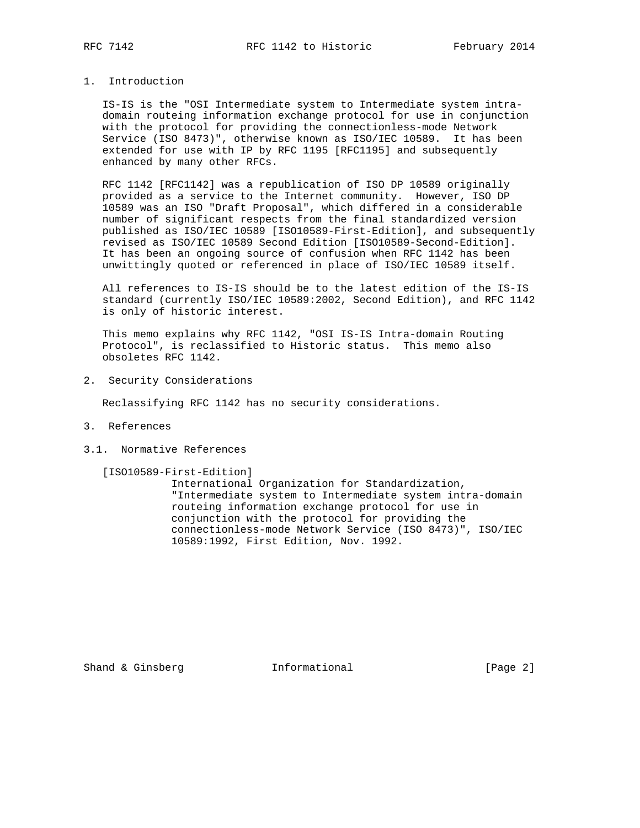## 1. Introduction

 IS-IS is the "OSI Intermediate system to Intermediate system intra domain routeing information exchange protocol for use in conjunction with the protocol for providing the connectionless-mode Network Service (ISO 8473)", otherwise known as ISO/IEC 10589. It has been extended for use with IP by RFC 1195 [RFC1195] and subsequently enhanced by many other RFCs.

 RFC 1142 [RFC1142] was a republication of ISO DP 10589 originally provided as a service to the Internet community. However, ISO DP 10589 was an ISO "Draft Proposal", which differed in a considerable number of significant respects from the final standardized version published as ISO/IEC 10589 [ISO10589-First-Edition], and subsequently revised as ISO/IEC 10589 Second Edition [ISO10589-Second-Edition]. It has been an ongoing source of confusion when RFC 1142 has been unwittingly quoted or referenced in place of ISO/IEC 10589 itself.

 All references to IS-IS should be to the latest edition of the IS-IS standard (currently ISO/IEC 10589:2002, Second Edition), and RFC 1142 is only of historic interest.

 This memo explains why RFC 1142, "OSI IS-IS Intra-domain Routing Protocol", is reclassified to Historic status. This memo also obsoletes RFC 1142.

2. Security Considerations

Reclassifying RFC 1142 has no security considerations.

- 3. References
- 3.1. Normative References

[ISO10589-First-Edition]

 International Organization for Standardization, "Intermediate system to Intermediate system intra-domain routeing information exchange protocol for use in conjunction with the protocol for providing the connectionless-mode Network Service (ISO 8473)", ISO/IEC 10589:1992, First Edition, Nov. 1992.

Shand & Ginsberg **Informational** [Page 2]